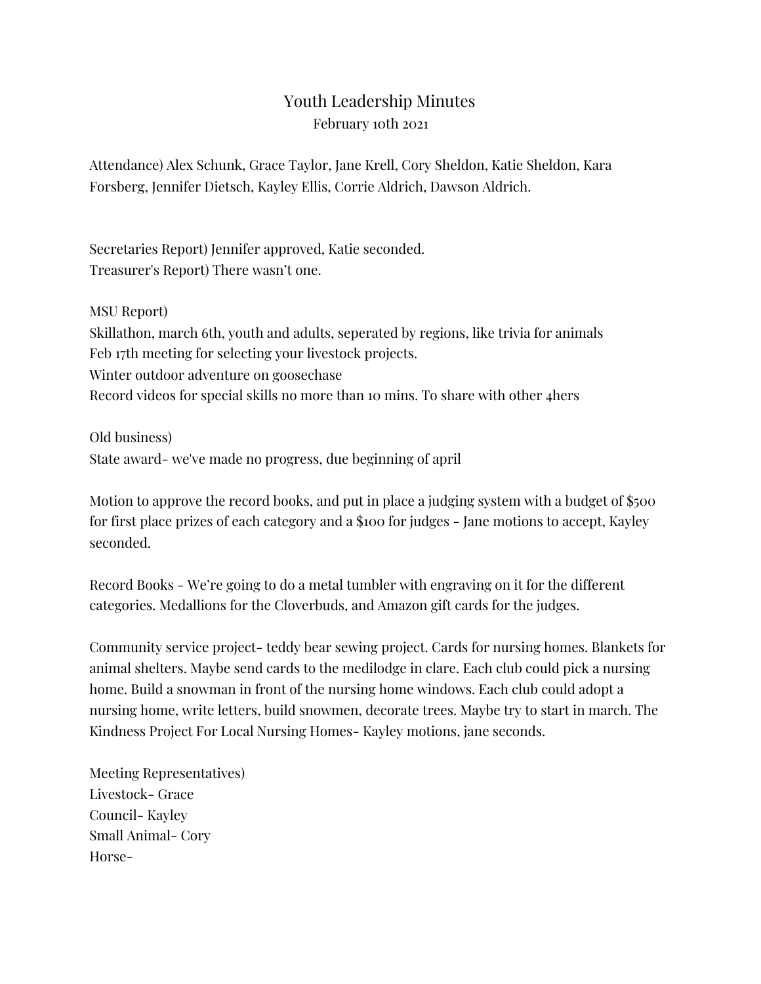## Youth Leadership Minutes February 10th 2021

Attendance) Alex Schunk, Grace Taylor, Jane Krell, Cory Sheldon, Katie Sheldon, Kara Forsberg, Jennifer Dietsch, Kayley Ellis, Corrie Aldrich, Dawson Aldrich.

Secretaries Report) Jennifer approved, Katie seconded. Treasurer's Report) There wasn't one.

MSU Report) Skillathon, march 6th, youth and adults, seperated by regions, like trivia for animals Feb 17th meeting for selecting your livestock projects. Winter outdoor adventure on goosechase Record videos for special skills no more than 10 mins. To share with other 4hers

Old business) State award- we've made no progress, due beginning of april

Motion to approve the record books, and put in place a judging system with a budget of \$500 for first place prizes of each category and a \$100 for judges - Jane motions to accept, Kayley seconded.

Record Books - We're going to do a metal tumbler with engraving on it for the different categories. Medallions for the Cloverbuds, and Amazon gift cards for the judges.

Community service project- teddy bear sewing project. Cards for nursing homes. Blankets for animal shelters. Maybe send cards to the medilodge in clare. Each club could pick a nursing home. Build a snowman in front of the nursing home windows. Each club could adopt a nursing home, write letters, build snowmen, decorate trees. Maybe try to start in march. The Kindness Project For Local Nursing Homes- Kayley motions, jane seconds.

Meeting Representatives) Livestock- Grace Council- Kayley Small Animal- Cory Horse